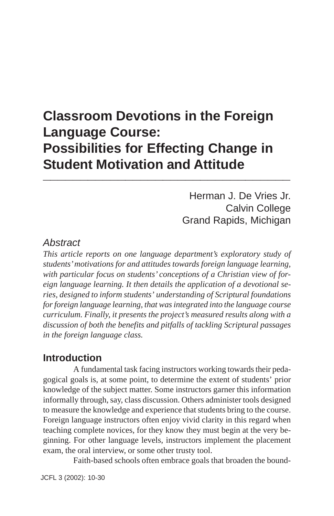## **Classroom Devotions in the Foreign Language Course: Possibilities for Effecting Change in Student Motivation and Attitude \_\_\_\_\_\_\_\_\_\_\_\_\_\_\_\_\_\_\_\_\_\_\_\_\_\_\_\_\_\_\_\_\_**

Herman J. De Vries Jr. Calvin College Grand Rapids, Michigan

### *Abstract*

*This article reports on one language department's exploratory study of students' motivations for and attitudes towards foreign language learning, with particular focus on students' conceptions of a Christian view of foreign language learning. It then details the application of a devotional series, designed to inform students' understanding of Scriptural foundations for foreign language learning, that was integrated into the language course curriculum. Finally, it presents the project's measured results along with a discussion of both the benefits and pitfalls of tackling Scriptural passages in the foreign language class.*

## **Introduction**

A fundamental task facing instructors working towards their pedagogical goals is, at some point, to determine the extent of students' prior knowledge of the subject matter. Some instructors garner this information informally through, say, class discussion. Others administer tools designed to measure the knowledge and experience that students bring to the course. Foreign language instructors often enjoy vivid clarity in this regard when teaching complete novices, for they know they must begin at the very beginning. For other language levels, instructors implement the placement exam, the oral interview, or some other trusty tool.

Faith-based schools often embrace goals that broaden the bound-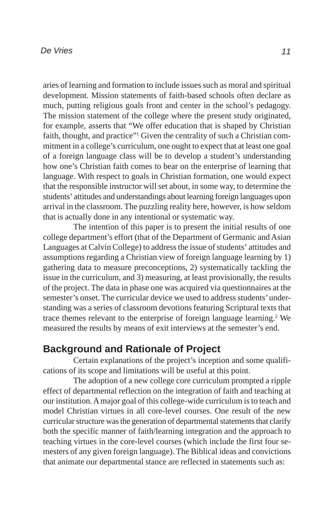aries of learning and formation to include issues such as moral and spiritual development. Mission statements of faith-based schools often declare as much, putting religious goals front and center in the school's pedagogy. The mission statement of the college where the present study originated, for example, asserts that "We offer education that is shaped by Christian faith, thought, and practice"<sup>1</sup> Given the centrality of such a Christian commitment in a college's curriculum, one ought to expect that at least one goal of a foreign language class will be to develop a student's understanding how one's Christian faith comes to bear on the enterprise of learning that language. With respect to goals in Christian formation, one would expect that the responsible instructor will set about, in some way, to determine the students' attitudes and understandings about learning foreign languages upon arrival in the classroom. The puzzling reality here, however, is how seldom that is actually done in any intentional or systematic way.

The intention of this paper is to present the initial results of one college department's effort (that of the Department of Germanic and Asian Languages at Calvin College) to address the issue of students' attitudes and assumptions regarding a Christian view of foreign language learning by 1) gathering data to measure preconceptions, 2) systematically tackling the issue in the curriculum, and 3) measuring, at least provisionally, the results of the project. The data in phase one was acquired via questionnaires at the semester's onset. The curricular device we used to address students' understanding was a series of classroom devotions featuring Scriptural texts that trace themes relevant to the enterprise of foreign language learning.<sup>2</sup> We measured the results by means of exit interviews at the semester's end.

## **Background and Rationale of Project**

Certain explanations of the project's inception and some qualifications of its scope and limitations will be useful at this point.

The adoption of a new college core curriculum prompted a ripple effect of departmental reflection on the integration of faith and teaching at our institution. A major goal of this college-wide curriculum is to teach and model Christian virtues in all core-level courses. One result of the new curricular structure was the generation of departmental statements that clarify both the specific manner of faith/learning integration and the approach to teaching virtues in the core-level courses (which include the first four semesters of any given foreign language). The Biblical ideas and convictions that animate our departmental stance are reflected in statements such as: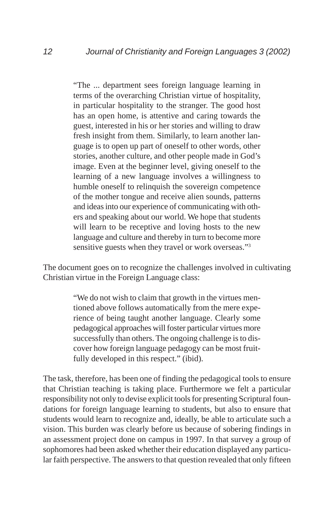"The ... department sees foreign language learning in terms of the overarching Christian virtue of hospitality, in particular hospitality to the stranger. The good host has an open home, is attentive and caring towards the guest, interested in his or her stories and willing to draw fresh insight from them. Similarly, to learn another language is to open up part of oneself to other words, other stories, another culture, and other people made in God's image. Even at the beginner level, giving oneself to the learning of a new language involves a willingness to humble oneself to relinquish the sovereign competence of the mother tongue and receive alien sounds, patterns and ideas into our experience of communicating with others and speaking about our world. We hope that students will learn to be receptive and loving hosts to the new language and culture and thereby in turn to become more sensitive guests when they travel or work overseas."<sup>3</sup>

The document goes on to recognize the challenges involved in cultivating Christian virtue in the Foreign Language class:

> "We do not wish to claim that growth in the virtues mentioned above follows automatically from the mere experience of being taught another language. Clearly some pedagogical approaches will foster particular virtues more successfully than others. The ongoing challenge is to discover how foreign language pedagogy can be most fruitfully developed in this respect." (ibid).

The task, therefore, has been one of finding the pedagogical tools to ensure that Christian teaching is taking place. Furthermore we felt a particular responsibility not only to devise explicit tools for presenting Scriptural foundations for foreign language learning to students, but also to ensure that students would learn to recognize and, ideally, be able to articulate such a vision. This burden was clearly before us because of sobering findings in an assessment project done on campus in 1997. In that survey a group of sophomores had been asked whether their education displayed any particular faith perspective. The answers to that question revealed that only fifteen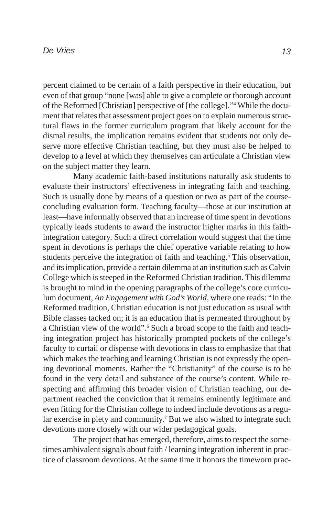percent claimed to be certain of a faith perspective in their education, but even of that group "none [was] able to give a complete or thorough account of the Reformed [Christian] perspective of [the college]."4 While the document that relates that assessment project goes on to explain numerous structural flaws in the former curriculum program that likely account for the dismal results, the implication remains evident that students not only deserve more effective Christian teaching, but they must also be helped to develop to a level at which they themselves can articulate a Christian view on the subject matter they learn.

Many academic faith-based institutions naturally ask students to evaluate their instructors' effectiveness in integrating faith and teaching. Such is usually done by means of a question or two as part of the courseconcluding evaluation form. Teaching faculty—those at our institution at least—have informally observed that an increase of time spent in devotions typically leads students to award the instructor higher marks in this faithintegration category. Such a direct correlation would suggest that the time spent in devotions is perhaps the chief operative variable relating to how students perceive the integration of faith and teaching.<sup>5</sup> This observation, and its implication, provide a certain dilemma at an institution such as Calvin College which is steeped in the Reformed Christian tradition. This dilemma is brought to mind in the opening paragraphs of the college's core curriculum document, *An Engagement with God's World*, where one reads: "In the Reformed tradition, Christian education is not just education as usual with Bible classes tacked on; it is an education that is permeated throughout by a Christian view of the world".<sup>6</sup> Such a broad scope to the faith and teaching integration project has historically prompted pockets of the college's faculty to curtail or dispense with devotions in class to emphasize that that which makes the teaching and learning Christian is not expressly the opening devotional moments. Rather the "Christianity" of the course is to be found in the very detail and substance of the course's content. While respecting and affirming this broader vision of Christian teaching, our department reached the conviction that it remains eminently legitimate and even fitting for the Christian college to indeed include devotions as a regular exercise in piety and community.<sup>7</sup> But we also wished to integrate such devotions more closely with our wider pedagogical goals.

The project that has emerged, therefore, aims to respect the sometimes ambivalent signals about faith / learning integration inherent in practice of classroom devotions. At the same time it honors the timeworn prac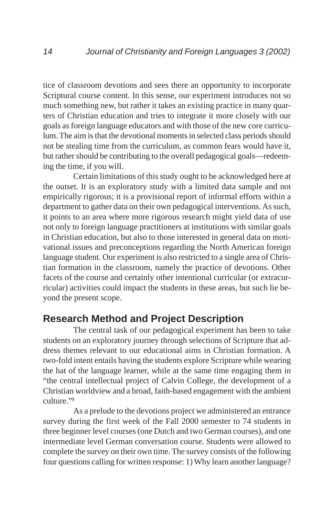tice of classroom devotions and sees there an opportunity to incorporate Scriptural course content. In this sense, our experiment introduces not so much something new, but rather it takes an existing practice in many quarters of Christian education and tries to integrate it more closely with our goals as foreign language educators and with those of the new core curriculum. The aim is that the devotional moments in selected class periods should not be stealing time from the curriculum, as common fears would have it, but rather should be contributing to the overall pedagogical goals—redeeming the time, if you will.

Certain limitations of this study ought to be acknowledged here at the outset. It is an exploratory study with a limited data sample and not empirically rigorous; it is a provisional report of informal efforts within a department to gather data on their own pedagogical interventions. As such, it points to an area where more rigorous research might yield data of use not only to foreign language practitioners at institutions with similar goals in Christian education, but also to those interested in general data on motivational issues and preconceptions regarding the North American foreign language student. Our experiment is also restricted to a single area of Christian formation in the classroom, namely the practice of devotions. Other facets of the course and certainly other intentional curricular (or extracurricular) activities could impact the students in these areas, but such lie beyond the present scope.

## **Research Method and Project Description**

The central task of our pedagogical experiment has been to take students on an exploratory journey through selections of Scripture that address themes relevant to our educational aims in Christian formation. A two-fold intent entails having the students explore Scripture while wearing the hat of the language learner, while at the same time engaging them in "the central intellectual project of Calvin College, the development of a Christian worldview and a broad, faith-based engagement with the ambient culture."8

As a prelude to the devotions project we administered an entrance survey during the first week of the Fall 2000 semester to 74 students in three beginner level courses (one Dutch and two German courses), and one intermediate level German conversation course. Students were allowed to complete the survey on their own time. The survey consists of the following four questions calling for written response: 1) Why learn another language?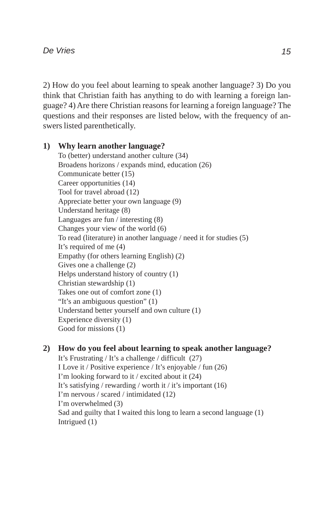2) How do you feel about learning to speak another language? 3) Do you think that Christian faith has anything to do with learning a foreign language? 4) Are there Christian reasons for learning a foreign language? The questions and their responses are listed below, with the frequency of answers listed parenthetically.

#### **1) Why learn another language?**

To (better) understand another culture (34) Broadens horizons / expands mind, education (26) Communicate better (15) Career opportunities (14) Tool for travel abroad (12) Appreciate better your own language (9) Understand heritage (8) Languages are fun / interesting (8) Changes your view of the world (6) To read (literature) in another language / need it for studies (5) It's required of me (4) Empathy (for others learning English) (2) Gives one a challenge (2) Helps understand history of country (1) Christian stewardship (1) Takes one out of comfort zone (1) "It's an ambiguous question" (1) Understand better yourself and own culture (1) Experience diversity (1) Good for missions (1)

### **2) How do you feel about learning to speak another language?**

It's Frustrating / It's a challenge / difficult (27) I Love it / Positive experience / It's enjoyable / fun (26) I'm looking forward to it / excited about it (24) It's satisfying / rewarding / worth it / it's important (16) I'm nervous / scared / intimidated (12) I'm overwhelmed (3) Sad and guilty that I waited this long to learn a second language (1) Intrigued (1)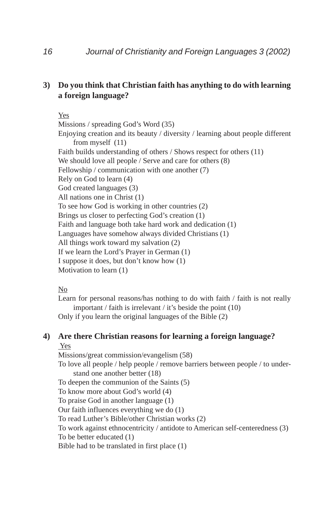#### **3) Do you think that Christian faith has anything to do with learning a foreign language?**

#### Yes

Missions / spreading God's Word (35) Enjoying creation and its beauty / diversity / learning about people different from myself (11) Faith builds understanding of others / Shows respect for others (11) We should love all people / Serve and care for others  $(8)$ Fellowship / communication with one another (7) Rely on God to learn (4) God created languages (3) All nations one in Christ (1) To see how God is working in other countries (2) Brings us closer to perfecting God's creation (1) Faith and language both take hard work and dedication (1) Languages have somehow always divided Christians (1) All things work toward my salvation (2) If we learn the Lord's Prayer in German (1) I suppose it does, but don't know how (1) Motivation to learn (1)

#### No

Learn for personal reasons/has nothing to do with faith / faith is not really important / faith is irrelevant / it's beside the point (10) Only if you learn the original languages of the Bible (2)

## **4) Are there Christian reasons for learning a foreign language?**

Yes

Missions/great commission/evangelism (58)

To love all people / help people / remove barriers between people / to understand one another better (18)

To deepen the communion of the Saints (5)

To know more about God's world (4)

To praise God in another language (1)

Our faith influences everything we do (1)

To read Luther's Bible/other Christian works (2)

To work against ethnocentricity / antidote to American self-centeredness (3)

To be better educated (1)

Bible had to be translated in first place (1)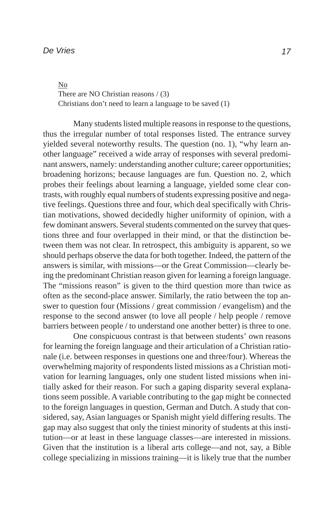No There are NO Christian reasons / (3) Christians don't need to learn a language to be saved (1)

Many students listed multiple reasons in response to the questions, thus the irregular number of total responses listed. The entrance survey yielded several noteworthy results. The question (no. 1), "why learn another language" received a wide array of responses with several predominant answers, namely: understanding another culture; career opportunities; broadening horizons; because languages are fun. Question no. 2, which probes their feelings about learning a language, yielded some clear contrasts, with roughly equal numbers of students expressing positive and negative feelings. Questions three and four, which deal specifically with Christian motivations, showed decidedly higher uniformity of opinion, with a few dominant answers. Several students commented on the survey that questions three and four overlapped in their mind, or that the distinction between them was not clear. In retrospect, this ambiguity is apparent, so we should perhaps observe the data for both together. Indeed, the pattern of the answers is similar, with missions—or the Great Commission—clearly being the predominant Christian reason given for learning a foreign language. The "missions reason" is given to the third question more than twice as often as the second-place answer. Similarly, the ratio between the top answer to question four (Missions / great commission / evangelism) and the response to the second answer (to love all people / help people / remove barriers between people / to understand one another better) is three to one.

One conspicuous contrast is that between students' own reasons for learning the foreign language and their articulation of a Christian rationale (i.e. between responses in questions one and three/four). Whereas the overwhelming majority of respondents listed missions as a Christian motivation for learning languages, only one student listed missions when initially asked for their reason. For such a gaping disparity several explanations seem possible. A variable contributing to the gap might be connected to the foreign languages in question, German and Dutch. A study that considered, say, Asian languages or Spanish might yield differing results. The gap may also suggest that only the tiniest minority of students at this institution—or at least in these language classes—are interested in missions. Given that the institution is a liberal arts college—and not, say, a Bible college specializing in missions training—it is likely true that the number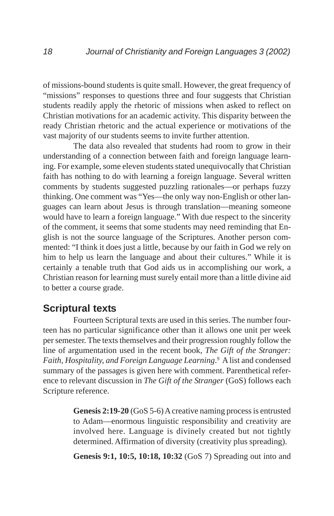of missions-bound students is quite small. However, the great frequency of "missions" responses to questions three and four suggests that Christian students readily apply the rhetoric of missions when asked to reflect on Christian motivations for an academic activity. This disparity between the ready Christian rhetoric and the actual experience or motivations of the vast majority of our students seems to invite further attention.

The data also revealed that students had room to grow in their understanding of a connection between faith and foreign language learning. For example, some eleven students stated unequivocally that Christian faith has nothing to do with learning a foreign language. Several written comments by students suggested puzzling rationales—or perhaps fuzzy thinking. One comment was "Yes—the only way non-English or other languages can learn about Jesus is through translation—meaning someone would have to learn a foreign language." With due respect to the sincerity of the comment, it seems that some students may need reminding that English is not the source language of the Scriptures. Another person commented: "I think it does just a little, because by our faith in God we rely on him to help us learn the language and about their cultures." While it is certainly a tenable truth that God aids us in accomplishing our work, a Christian reason for learning must surely entail more than a little divine aid to better a course grade.

## **Scriptural texts**

Fourteen Scriptural texts are used in this series. The number fourteen has no particular significance other than it allows one unit per week per semester. The texts themselves and their progression roughly follow the line of argumentation used in the recent book, *The Gift of the Stranger: Faith, Hospitality, and Foreign Language Learning*. 9 A list and condensed summary of the passages is given here with comment. Parenthetical reference to relevant discussion in *The Gift of the Stranger* (GoS) follows each Scripture reference.

> **Genesis 2:19-20** (GoS 5-6) A creative naming process is entrusted to Adam—enormous linguistic responsibility and creativity are involved here. Language is divinely created but not tightly determined. Affirmation of diversity (creativity plus spreading).

> **Genesis 9:1, 10:5, 10:18, 10:32** (GoS 7) Spreading out into and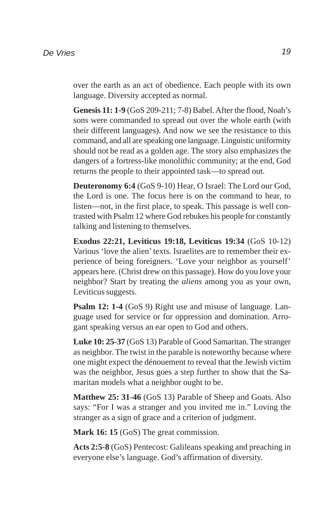over the earth as an act of obedience. Each people with its own language. Diversity accepted as normal.

**Genesis 11: 1-9** (GoS 209-211; 7-8) Babel. After the flood, Noah's sons were commanded to spread out over the whole earth (with their different languages). And now we see the resistance to this command, and all are speaking one language. Linguistic uniformity should not be read as a golden age. The story also emphasizes the dangers of a fortress-like monolithic community; at the end, God returns the people to their appointed task—to spread out.

**Deuteronomy 6:4** (GoS 9-10) Hear, O Israel: The Lord our God, the Lord is one. The focus here is on the command to hear, to listen—not, in the first place, to speak. This passage is well contrasted with Psalm 12 where God rebukes his people for constantly talking and listening to themselves.

**Exodus 22:21, Leviticus 19:18, Leviticus 19:34** (GoS 10-12) Various 'love the alien' texts. Israelites are to remember their experience of being foreigners. 'Love your neighbor as yourself' appears here. (Christ drew on this passage). How do you love your neighbor? Start by treating the *aliens* among you as your own, Leviticus suggests.

**Psalm 12: 1-4** (GoS 9) Right use and misuse of language. Language used for service or for oppression and domination. Arrogant speaking versus an ear open to God and others.

**Luke 10: 25-37** (GoS 13) Parable of Good Samaritan. The stranger as neighbor. The twist in the parable is noteworthy because where one might expect the dénouement to reveal that the Jewish victim was the neighbor, Jesus goes a step further to show that the Samaritan models what a neighbor ought to be.

**Matthew 25: 31-46** (GoS 13) Parable of Sheep and Goats. Also says: "For I was a stranger and you invited me in." Loving the stranger as a sign of grace and a criterion of judgment.

**Mark 16: 15** (GoS) The great commission.

**Acts 2:5-8** (GoS) Pentecost: Galileans speaking and preaching in everyone else's language. God's affirmation of diversity.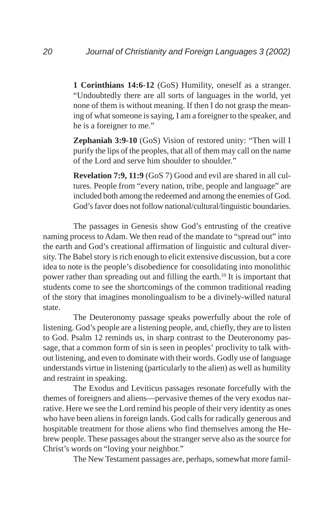**1 Corinthians 14:6-12** (GoS) Humility, oneself as a stranger. "Undoubtedly there are all sorts of languages in the world, yet none of them is without meaning. If then I do not grasp the meaning of what someone is saying, I am a foreigner to the speaker, and he is a foreigner to me."

**Zephaniah 3:9-10** (GoS) Vision of restored unity: "Then will I purify the lips of the peoples, that all of them may call on the name of the Lord and serve him shoulder to shoulder."

**Revelation 7:9, 11:9** (GoS 7) Good and evil are shared in all cultures. People from "every nation, tribe, people and language" are included both among the redeemed and among the enemies of God. God's favor does not follow national/cultural/linguistic boundaries.

The passages in Genesis show God's entrusting of the creative naming process to Adam. We then read of the mandate to "spread out" into the earth and God's creational affirmation of linguistic and cultural diversity. The Babel story is rich enough to elicit extensive discussion, but a core idea to note is the people's disobedience for consolidating into monolithic power rather than spreading out and filling the earth.10 It is important that students come to see the shortcomings of the common traditional reading of the story that imagines monolingualism to be a divinely-willed natural state.

The Deuteronomy passage speaks powerfully about the role of listening. God's people are a listening people, and, chiefly, they are to listen to God. Psalm 12 reminds us, in sharp contrast to the Deuteronomy passage, that a common form of sin is seen in peoples' proclivity to talk without listening, and even to dominate with their words. Godly use of language understands virtue in listening (particularly to the alien) as well as humility and restraint in speaking.

The Exodus and Leviticus passages resonate forcefully with the themes of foreigners and aliens—pervasive themes of the very exodus narrative. Here we see the Lord remind his people of their very identity as ones who have been aliens in foreign lands. God calls for radically generous and hospitable treatment for those aliens who find themselves among the Hebrew people. These passages about the stranger serve also as the source for Christ's words on "loving your neighbor."

The New Testament passages are, perhaps, somewhat more famil-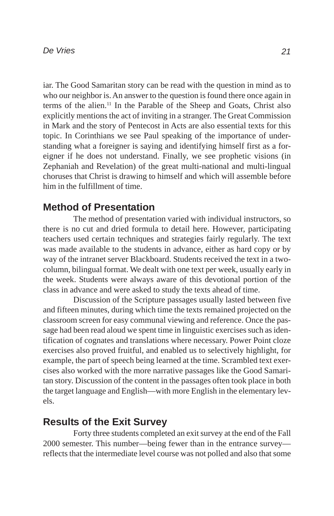iar. The Good Samaritan story can be read with the question in mind as to who our neighbor is. An answer to the question is found there once again in terms of the alien.11 In the Parable of the Sheep and Goats, Christ also explicitly mentions the act of inviting in a stranger. The Great Commission in Mark and the story of Pentecost in Acts are also essential texts for this topic. In Corinthians we see Paul speaking of the importance of understanding what a foreigner is saying and identifying himself first as a foreigner if he does not understand. Finally, we see prophetic visions (in Zephaniah and Revelation) of the great multi-national and multi-lingual choruses that Christ is drawing to himself and which will assemble before him in the fulfillment of time.

## **Method of Presentation**

The method of presentation varied with individual instructors, so there is no cut and dried formula to detail here. However, participating teachers used certain techniques and strategies fairly regularly. The text was made available to the students in advance, either as hard copy or by way of the intranet server Blackboard. Students received the text in a twocolumn, bilingual format. We dealt with one text per week, usually early in the week. Students were always aware of this devotional portion of the class in advance and were asked to study the texts ahead of time.

Discussion of the Scripture passages usually lasted between five and fifteen minutes, during which time the texts remained projected on the classroom screen for easy communal viewing and reference. Once the passage had been read aloud we spent time in linguistic exercises such as identification of cognates and translations where necessary. Power Point cloze exercises also proved fruitful, and enabled us to selectively highlight, for example, the part of speech being learned at the time. Scrambled text exercises also worked with the more narrative passages like the Good Samaritan story. Discussion of the content in the passages often took place in both the target language and English—with more English in the elementary levels.

## **Results of the Exit Survey**

Forty three students completed an exit survey at the end of the Fall 2000 semester. This number—being fewer than in the entrance survey reflects that the intermediate level course was not polled and also that some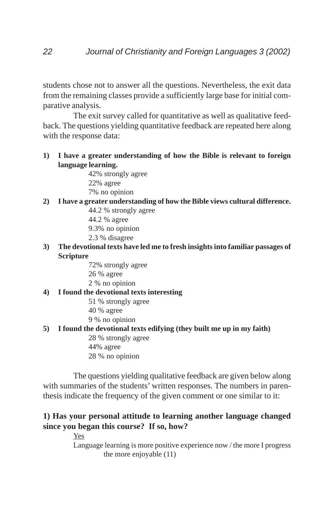students chose not to answer all the questions. Nevertheless, the exit data from the remaining classes provide a sufficiently large base for initial comparative analysis.

The exit survey called for quantitative as well as qualitative feedback. The questions yielding quantitative feedback are repeated here along with the response data:

**1) I have a greater understanding of how the Bible is relevant to foreign language learning.**

42% strongly agree 22% agree 7% no opinion

**2) I have a greater understanding of how the Bible views cultural difference.**

44.2 % strongly agree

44.2 % agree

9.3% no opinion

- 2.3 % disagree
- **3) The devotional texts have led me to fresh insights into familiar passages of Scripture**
	- 72% strongly agree 26 % agree 2 % no opinion

#### **4) I found the devotional texts interesting**

- 51 % strongly agree
- 40 % agree
- 9 % no opinion

#### **5) I found the devotional texts edifying (they built me up in my faith)**

28 % strongly agree 44% agree 28 % no opinion

The questions yielding qualitative feedback are given below along with summaries of the students' written responses. The numbers in parenthesis indicate the frequency of the given comment or one similar to it:

### **1) Has your personal attitude to learning another language changed since you began this course? If so, how?**

Yes Language learning is more positive experience now / the more I progress the more enjoyable (11)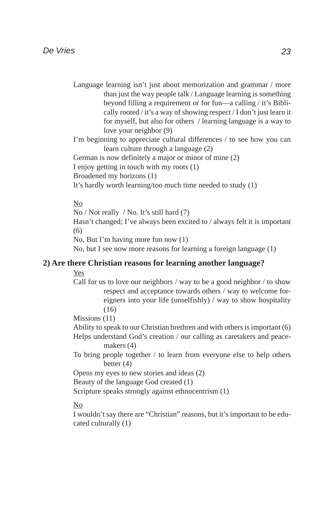- Language learning isn't just about memorization and grammar / more than just the way people talk / Language learning is something beyond filling a requirement or for fun—a calling / it's Biblically rooted / it's a way of showing respect / I don't just learn it for myself, but also for others / learning language is a way to love your neighbor (9)
- I'm beginning to appreciate cultural differences / to see how you can learn culture through a language (2)
- German is now definitely a major or minor of mine (2)
- I enjoy getting in touch with my roots (1)
- Broadened my horizons (1)
- It's hardly worth learning/too much time needed to study (1)

#### No

No / Not really / No. It's still hard (7) Hasn't changed; I've always been excited to / always felt it is important (6) No, But I'm having more fun now (1) No, but I see now more reasons for learning a foreign language (1)

#### **2) Are there Christian reasons for learning another language?**

Yes

Call for us to love our neighbors / way to be a good neighbor / to show respect and acceptance towards others / way to welcome foreigners into your life (unselfishly) / way to show hospitality  $(16)$ 

Missions (11)

Ability to speak to our Christian brethren and with others is important (6) Helps understand God's creation / our calling as caretakers and peacemakers (4)

To bring people together / to learn from everyone else to help others better (4)

Opens my eyes to new stories and ideas (2)

Beauty of the language God created (1)

Scripture speaks strongly against ethnocentrism (1)

#### No

I wouldn't say there are "Christian" reasons, but it's important to be educated culturally (1)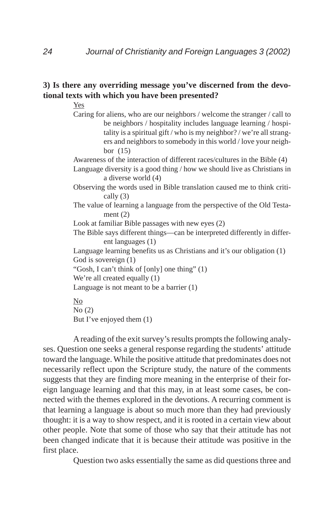#### **3) Is there any overriding message you've discerned from the devotional texts with which you have been presented?**

Yes

Caring for aliens, who are our neighbors / welcome the stranger / call to be neighbors / hospitality includes language learning / hospitality is a spiritual gift / who is my neighbor? / we're all strangers and neighbors to somebody in this world / love your neighbor (15)

Awareness of the interaction of different races/cultures in the Bible (4)

Language diversity is a good thing / how we should live as Christians in a diverse world (4)

Observing the words used in Bible translation caused me to think critically (3)

The value of learning a language from the perspective of the Old Testament (2)

Look at familiar Bible passages with new eyes (2)

The Bible says different things—can be interpreted differently in different languages (1)

Language learning benefits us as Christians and it's our obligation (1) God is sovereign (1)

"Gosh, I can't think of [only] one thing" (1)

We're all created equally  $(1)$ 

Language is not meant to be a barrier (1)

No No (2) But I've enjoyed them (1)

A reading of the exit survey's results prompts the following analyses. Question one seeks a general response regarding the students' attitude toward the language. While the positive attitude that predominates does not necessarily reflect upon the Scripture study, the nature of the comments suggests that they are finding more meaning in the enterprise of their foreign language learning and that this may, in at least some cases, be connected with the themes explored in the devotions. A recurring comment is that learning a language is about so much more than they had previously thought: it is a way to show respect, and it is rooted in a certain view about other people. Note that some of those who say that their attitude has not been changed indicate that it is because their attitude was positive in the first place.

Question two asks essentially the same as did questions three and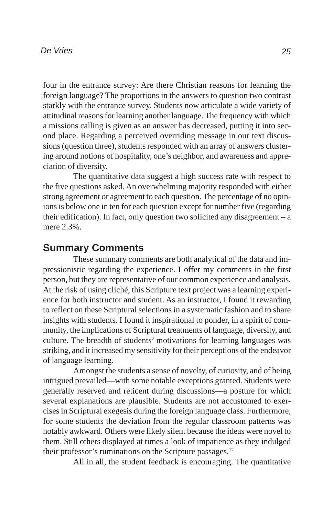four in the entrance survey: Are there Christian reasons for learning the foreign language? The proportions in the answers to question two contrast starkly with the entrance survey. Students now articulate a wide variety of attitudinal reasons for learning another language. The frequency with which a missions calling is given as an answer has decreased, putting it into second place. Regarding a perceived overriding message in our text discussions (question three), students responded with an array of answers clustering around notions of hospitality, one's neighbor, and awareness and appreciation of diversity.

The quantitative data suggest a high success rate with respect to the five questions asked. An overwhelming majority responded with either strong agreement or agreement to each question. The percentage of no opinions is below one in ten for each question except for number five (regarding their edification). In fact, only question two solicited any disagreement – a mere 2.3%.

## **Summary Comments**

These summary comments are both analytical of the data and impressionistic regarding the experience. I offer my comments in the first person, but they are representative of our common experience and analysis. At the risk of using cliché, this Scripture text project was a learning experience for both instructor and student. As an instructor, I found it rewarding to reflect on these Scriptural selections in a systematic fashion and to share insights with students. I found it inspirational to ponder, in a spirit of community, the implications of Scriptural treatments of language, diversity, and culture. The breadth of students' motivations for learning languages was striking, and it increased my sensitivity for their perceptions of the endeavor of language learning.

Amongst the students a sense of novelty, of curiosity, and of being intrigued prevailed—with some notable exceptions granted. Students were generally reserved and reticent during discussions—a posture for which several explanations are plausible. Students are not accustomed to exercises in Scriptural exegesis during the foreign language class. Furthermore, for some students the deviation from the regular classroom patterns was notably awkward. Others were likely silent because the ideas were novel to them. Still others displayed at times a look of impatience as they indulged their professor's ruminations on the Scripture passages.<sup>12</sup>

All in all, the student feedback is encouraging. The quantitative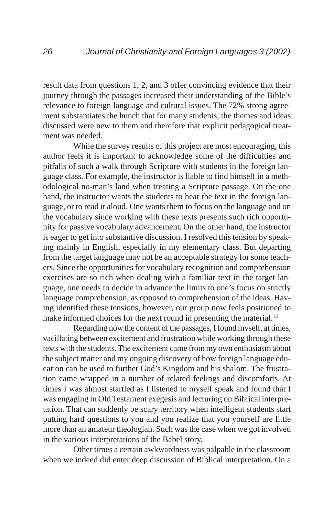result data from questions 1, 2, and 3 offer convincing evidence that their journey through the passages increased their understanding of the Bible's relevance to foreign language and cultural issues. The 72% strong agreement substantiates the hunch that for many students, the themes and ideas discussed were new to them and therefore that explicit pedagogical treatment was needed.

While the survey results of this project are most encouraging, this author feels it is important to acknowledge some of the difficulties and pitfalls of such a walk through Scripture with students in the foreign language class. For example, the instructor is liable to find himself in a methodological no-man's land when treating a Scripture passage. On the one hand, the instructor wants the students to hear the text in the foreign language, or to read it aloud. One wants them to focus on the language and on the vocabulary since working with these texts presents such rich opportunity for passive vocabulary advancement. On the other hand, the instructor is eager to get into substantive discussion. I resolved this tension by speaking mainly in English, especially in my elementary class. But departing from the target language may not be an acceptable strategy for some teachers. Since the opportunities for vocabulary recognition and comprehension exercises are so rich when dealing with a familiar text in the target language, one needs to decide in advance the limits to one's focus on strictly language comprehension, as opposed to comprehension of the ideas. Having identified these tensions, however, our group now feels positioned to make informed choices for the next round in presenting the material.<sup>13</sup>

Regarding now the content of the passages, I found myself, at times, vacillating between excitement and frustration while working through these texts with the students. The excitement came from my own enthusiasm about the subject matter and my ongoing discovery of how foreign language education can be used to further God's Kingdom and his shalom. The frustration came wrapped in a number of related feelings and discomforts. At times I was almost startled as I listened to myself speak and found that I was engaging in Old Testament exegesis and lecturing on Biblical interpretation. That can suddenly be scary territory when intelligent students start putting hard questions to you and you realize that you yourself are little more than an amateur theologian. Such was the case when we got involved in the various interpretations of the Babel story.

Other times a certain awkwardness was palpable in the classroom when we indeed did enter deep discussion of Biblical interpretation. On a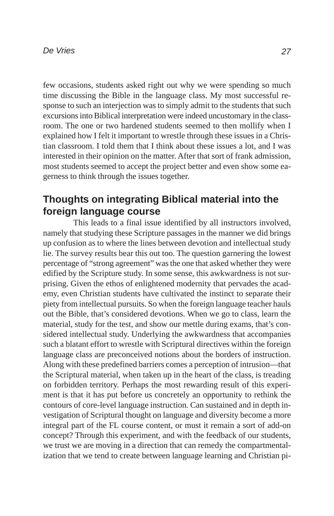few occasions, students asked right out why we were spending so much time discussing the Bible in the language class. My most successful response to such an interjection was to simply admit to the students that such excursions into Biblical interpretation were indeed uncustomary in the classroom. The one or two hardened students seemed to then mollify when I explained how I felt it important to wrestle through these issues in a Christian classroom. I told them that I think about these issues a lot, and I was interested in their opinion on the matter. After that sort of frank admission, most students seemed to accept the project better and even show some eagerness to think through the issues together.

## **Thoughts on integrating Biblical material into the foreign language course**

This leads to a final issue identified by all instructors involved, namely that studying these Scripture passages in the manner we did brings up confusion as to where the lines between devotion and intellectual study lie. The survey results bear this out too. The question garnering the lowest percentage of "strong agreement" was the one that asked whether they were edified by the Scripture study. In some sense, this awkwardness is not surprising. Given the ethos of enlightened modernity that pervades the academy, even Christian students have cultivated the instinct to separate their piety from intellectual pursuits. So when the foreign language teacher hauls out the Bible, that's considered devotions. When we go to class, learn the material, study for the test, and show our mettle during exams, that's considered intellectual study. Underlying the awkwardness that accompanies such a blatant effort to wrestle with Scriptural directives within the foreign language class are preconceived notions about the borders of instruction. Along with these predefined barriers comes a perception of intrusion—that the Scriptural material, when taken up in the heart of the class, is treading on forbidden territory. Perhaps the most rewarding result of this experiment is that it has put before us concretely an opportunity to rethink the contours of core-level language instruction. Can sustained and in depth investigation of Scriptural thought on language and diversity become a more integral part of the FL course content, or must it remain a sort of add-on concept? Through this experiment, and with the feedback of our students, we trust we are moving in a direction that can remedy the compartmentalization that we tend to create between language learning and Christian pi-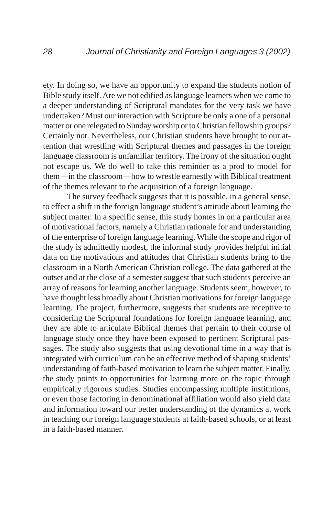ety. In doing so, we have an opportunity to expand the students notion of Bible study itself. Are we not edified as language learners when we come to a deeper understanding of Scriptural mandates for the very task we have undertaken? Must our interaction with Scripture be only a one of a personal matter or one relegated to Sunday worship or to Christian fellowship groups? Certainly not. Nevertheless, our Christian students have brought to our attention that wrestling with Scriptural themes and passages in the foreign language classroom is unfamiliar territory. The irony of the situation ought not escape us. We do well to take this reminder as a prod to model for them—in the classroom—how to wrestle earnestly with Biblical treatment of the themes relevant to the acquisition of a foreign language.

The survey feedback suggests that it is possible, in a general sense, to effect a shift in the foreign language student's attitude about learning the subject matter. In a specific sense, this study homes in on a particular area of motivational factors, namely a Christian rationale for and understanding of the enterprise of foreign language learning. While the scope and rigor of the study is admittedly modest, the informal study provides helpful initial data on the motivations and attitudes that Christian students bring to the classroom in a North American Christian college. The data gathered at the outset and at the close of a semester suggest that such students perceive an array of reasons for learning another language. Students seem, however, to have thought less broadly about Christian motivations for foreign language learning. The project, furthermore, suggests that students are receptive to considering the Scriptural foundations for foreign language learning, and they are able to articulate Biblical themes that pertain to their course of language study once they have been exposed to pertinent Scriptural passages. The study also suggests that using devotional time in a way that is integrated with curriculum can be an effective method of shaping students' understanding of faith-based motivation to learn the subject matter. Finally, the study points to opportunities for learning more on the topic through empirically rigorous studies. Studies encompassing multiple institutions, or even those factoring in denominational affiliation would also yield data and information toward our better understanding of the dynamics at work in teaching our foreign language students at faith-based schools, or at least in a faith-based manner.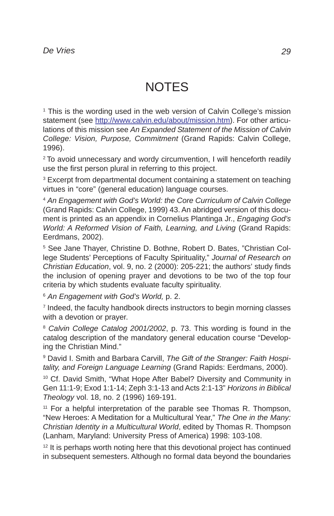# **NOTES**

<sup>1</sup> This is the wording used in the web version of Calvin College's mission statement (see http://www.calvin.edu/about/mission.htm). For other articulations of this mission see *An Expanded Statement of the Mission of Calvin College: Vision, Purpose, Commitment* (Grand Rapids: Calvin College, 1996).

<sup>2</sup> To avoid unnecessary and wordy circumvention, I will henceforth readily use the first person plural in referring to this project.

<sup>3</sup> Excerpt from departmental document containing a statement on teaching virtues in "core" (general education) language courses.

<sup>4</sup> *An Engagement with God's World: the Core Curriculum of Calvin College* (Grand Rapids: Calvin College, 1999) 43. An abridged version of this document is printed as an appendix in Cornelius Plantinga Jr., *Engaging God's World: A Reformed Vision of Faith, Learning, and Living (Grand Rapids:* Eerdmans, 2002).

5 See Jane Thayer, Christine D. Bothne, Robert D. Bates, "Christian College Students' Perceptions of Faculty Spirituality," *Journal of Research on Christian Education*, vol. 9, no. 2 (2000): 205-221; the authors' study finds the inclusion of opening prayer and devotions to be two of the top four criteria by which students evaluate faculty spirituality.

<sup>6</sup> *An Engagement with God's World,* p. 2.

<sup>7</sup> Indeed, the faculty handbook directs instructors to begin morning classes with a devotion or prayer.

<sup>8</sup> Calvin College Catalog 2001/2002, p. 73. This wording is found in the catalog description of the mandatory general education course "Developing the Christian Mind."

9 David I. Smith and Barbara Carvill, *The Gift of the Stranger: Faith Hospitality, and Foreign Language Learning* (Grand Rapids: Eerdmans, 2000).

<sup>10</sup> Cf. David Smith, "What Hope After Babel? Diversity and Community in Gen 11:1-9; Exod 1:1-14; Zeph 3:1-13 and Acts 2:1-13" *Horizons in Biblical Theology* vol. 18, no. 2 (1996) 169-191.

<sup>11</sup> For a helpful interpretation of the parable see Thomas R. Thompson, "New Heroes: A Meditation for a Multicultural Year," *The One in the Many: Christian Identity in a Multicultural World*, edited by Thomas R. Thompson (Lanham, Maryland: University Press of America) 1998: 103-108.

 $12$  It is perhaps worth noting here that this devotional project has continued in subsequent semesters. Although no formal data beyond the boundaries